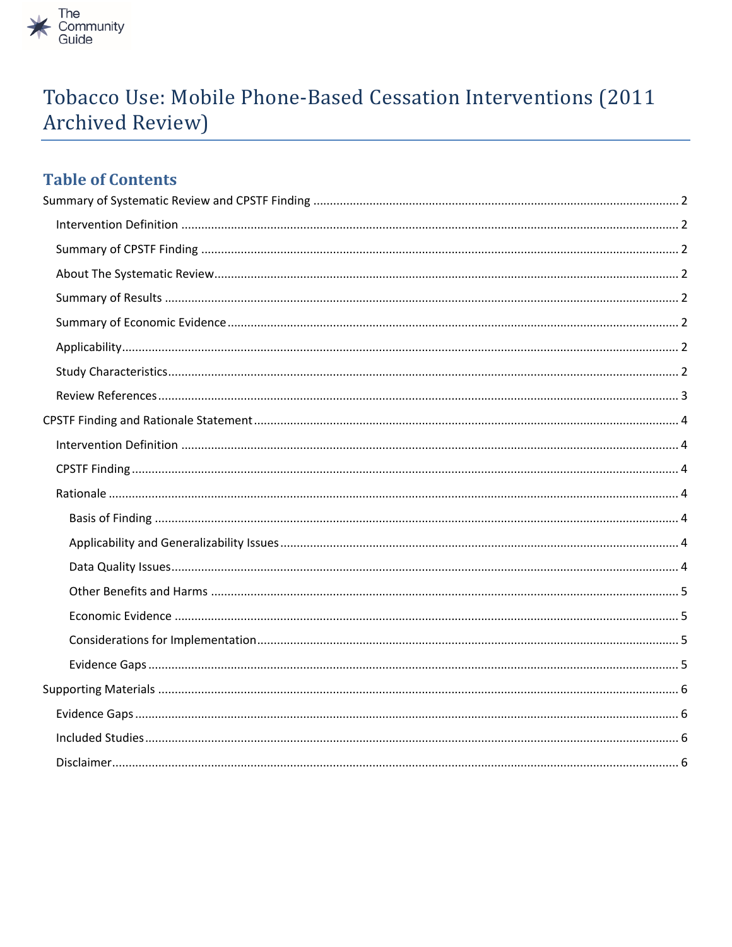

# Tobacco Use: Mobile Phone-Based Cessation Interventions (2011 Archived Review)

# **Table of Contents**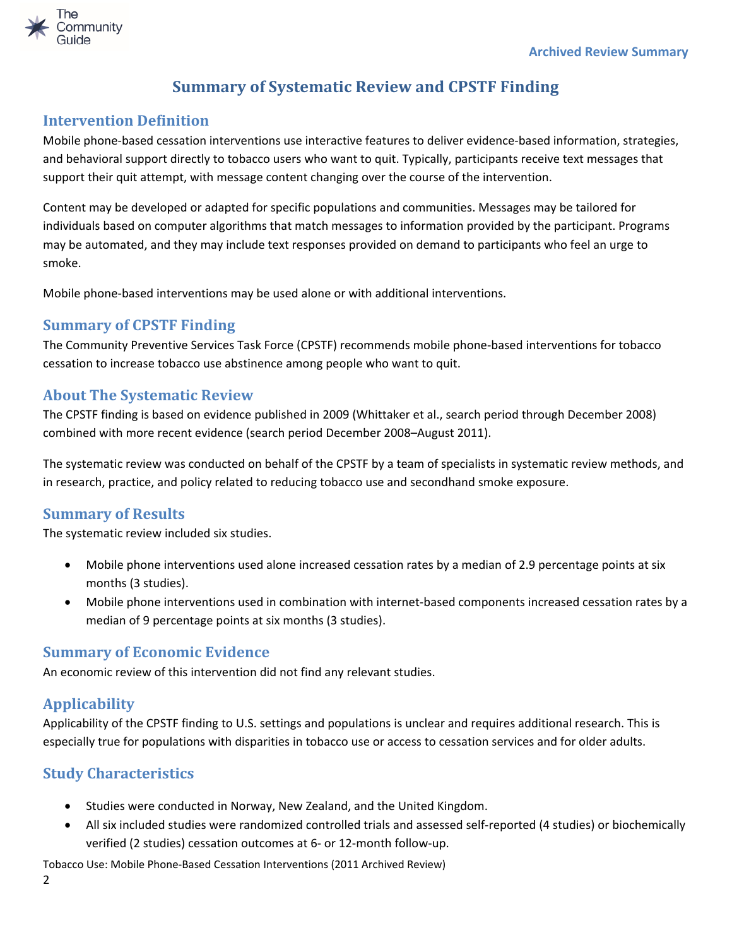

# **Summary of Systematic Review and CPSTF Finding**

### <span id="page-1-1"></span><span id="page-1-0"></span>**Intervention Definition**

Mobile phone-based cessation interventions use interactive features to deliver evidence-based information, strategies, and behavioral support directly to tobacco users who want to quit. Typically, participants receive text messages that support their quit attempt, with message content changing over the course of the intervention.

Content may be developed or adapted for specific populations and communities. Messages may be tailored for individuals based on computer algorithms that match messages to information provided by the participant. Programs may be automated, and they may include text responses provided on demand to participants who feel an urge to smoke.

Mobile phone-based interventions may be used alone or with additional interventions.

## <span id="page-1-2"></span>**Summary of CPSTF Finding**

The Community Preventive Services Task Force (CPSTF) recommends mobile phone-based interventions for tobacco cessation to increase tobacco use abstinence among people who want to quit.

## <span id="page-1-3"></span>**About The Systematic Review**

The CPSTF finding is based on evidence published in 2009 (Whittaker et al., search period through December 2008) combined with more recent evidence (search period December 2008–August 2011).

The systematic review was conducted on behalf of the CPSTF by a team of specialists in systematic review methods, and in research, practice, and policy related to reducing tobacco use and secondhand smoke exposure.

### <span id="page-1-4"></span>**Summary of Results**

The systematic review included six studies.

- Mobile phone interventions used alone increased cessation rates by a median of 2.9 percentage points at six months (3 studies).
- Mobile phone interventions used in combination with internet-based components increased cessation rates by a median of 9 percentage points at six months (3 studies).

### <span id="page-1-5"></span>**Summary of Economic Evidence**

An economic review of this intervention did not find any relevant studies.

### <span id="page-1-6"></span>**Applicability**

Applicability of the CPSTF finding to U.S. settings and populations is unclear and requires additional research. This is especially true for populations with disparities in tobacco use or access to cessation services and for older adults.

# <span id="page-1-7"></span>**Study Characteristics**

- Studies were conducted in Norway, New Zealand, and the United Kingdom.
- All six included studies were randomized controlled trials and assessed self-reported (4 studies) or biochemically verified (2 studies) cessation outcomes at 6- or 12-month follow-up.

Tobacco Use: Mobile Phone-Based Cessation Interventions (2011 Archived Review)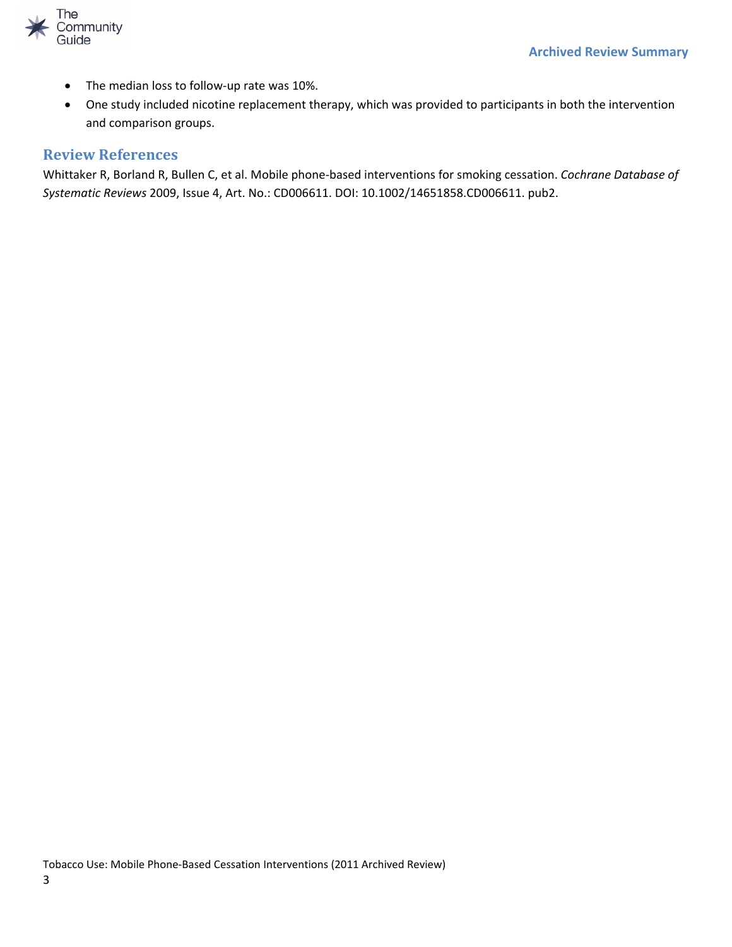

- The median loss to follow-up rate was 10%.
- One study included nicotine replacement therapy, which was provided to participants in both the intervention and comparison groups.

#### <span id="page-2-0"></span>**Review References**

Whittaker R, Borland R, Bullen C, et al. Mobile phone-based interventions for smoking cessation. *Cochrane Database of Systematic Reviews* 2009, Issue 4, Art. No.: CD006611. DOI: 10.1002/14651858.CD006611. pub2.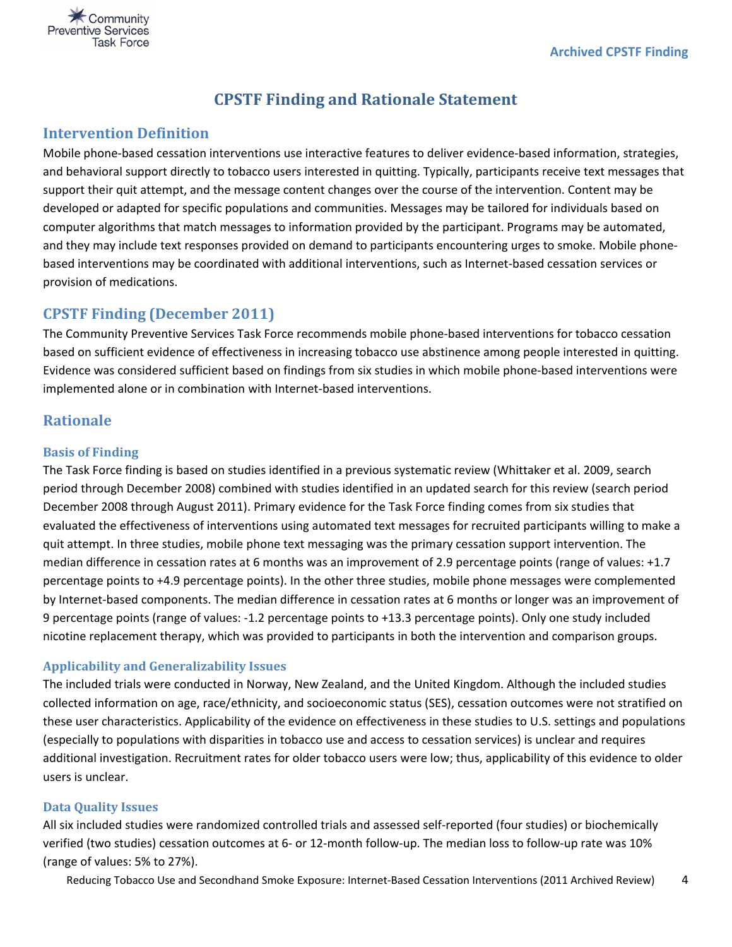<span id="page-3-0"></span>

# **CPSTF Finding and Rationale Statement**

#### <span id="page-3-1"></span>**Intervention Definition**

Mobile phone-based cessation interventions use interactive features to deliver evidence-based information, strategies, and behavioral support directly to tobacco users interested in quitting. Typically, participants receive text messages that support their quit attempt, and the message content changes over the course of the intervention. Content may be developed or adapted for specific populations and communities. Messages may be tailored for individuals based on computer algorithms that match messages to information provided by the participant. Programs may be automated, and they may include text responses provided on demand to participants encountering urges to smoke. Mobile phonebased interventions may be coordinated with additional interventions, such as Internet-based cessation services or provision of medications.

#### <span id="page-3-2"></span>**CPSTF Finding (December 2011)**

The Community Preventive Services Task Force recommends mobile phone-based interventions for tobacco cessation based on sufficient evidence of effectiveness in increasing tobacco use abstinence among people interested in quitting. Evidence was considered sufficient based on findings from six studies in which mobile phone-based interventions were implemented alone or in combination with Internet-based interventions.

### <span id="page-3-3"></span>**Rationale**

#### <span id="page-3-4"></span>**Basis of Finding**

The Task Force finding is based on studies identified in a previous systematic review (Whittaker et al. 2009, search period through December 2008) combined with studies identified in an updated search for this review (search period December 2008 through August 2011). Primary evidence for the Task Force finding comes from six studies that evaluated the effectiveness of interventions using automated text messages for recruited participants willing to make a quit attempt. In three studies, mobile phone text messaging was the primary cessation support intervention. The median difference in cessation rates at 6 months was an improvement of 2.9 percentage points (range of values: +1.7 percentage points to +4.9 percentage points). In the other three studies, mobile phone messages were complemented by Internet-based components. The median difference in cessation rates at 6 months or longer was an improvement of 9 percentage points (range of values: -1.2 percentage points to +13.3 percentage points). Only one study included nicotine replacement therapy, which was provided to participants in both the intervention and comparison groups.

#### <span id="page-3-5"></span>**Applicability and Generalizability Issues**

The included trials were conducted in Norway, New Zealand, and the United Kingdom. Although the included studies collected information on age, race/ethnicity, and socioeconomic status (SES), cessation outcomes were not stratified on these user characteristics. Applicability of the evidence on effectiveness in these studies to U.S. settings and populations (especially to populations with disparities in tobacco use and access to cessation services) is unclear and requires additional investigation. Recruitment rates for older tobacco users were low; thus, applicability of this evidence to older users is unclear.

#### <span id="page-3-6"></span>**Data Quality Issues**

All six included studies were randomized controlled trials and assessed self-reported (four studies) or biochemically verified (two studies) cessation outcomes at 6- or 12-month follow-up. The median loss to follow-up rate was 10% (range of values: 5% to 27%).

Reducing Tobacco Use and Secondhand Smoke Exposure: Internet-Based Cessation Interventions (2011 Archived Review) 4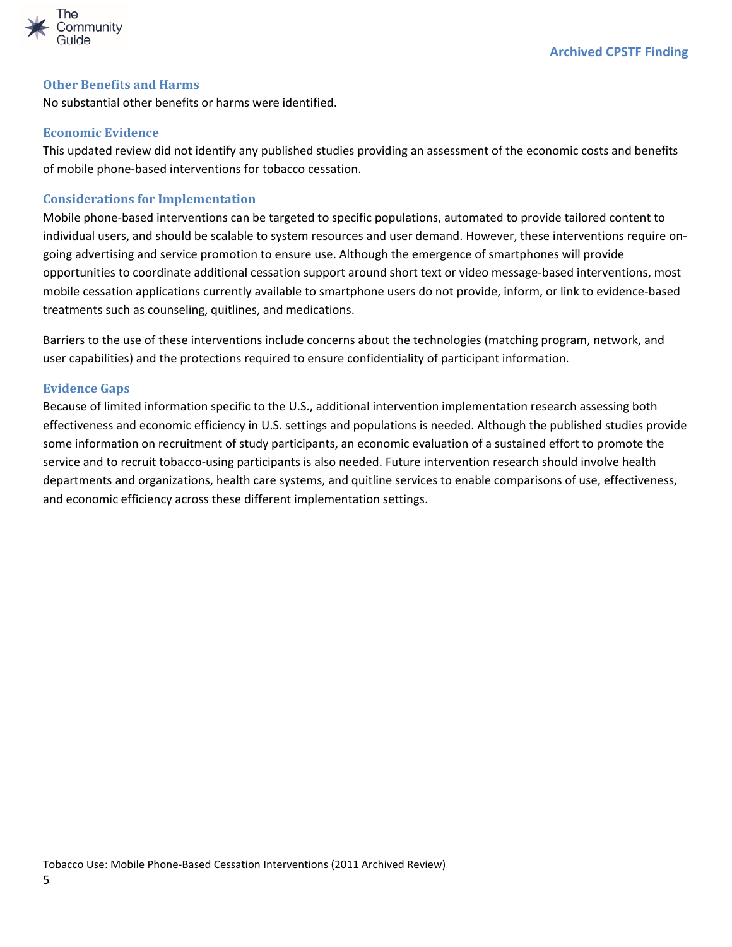

#### <span id="page-4-0"></span>**Other Benefits and Harms**

No substantial other benefits or harms were identified.

#### <span id="page-4-1"></span>**Economic Evidence**

This updated review did not identify any published studies providing an assessment of the economic costs and benefits of mobile phone-based interventions for tobacco cessation.

#### <span id="page-4-2"></span>**Considerations for Implementation**

Mobile phone-based interventions can be targeted to specific populations, automated to provide tailored content to individual users, and should be scalable to system resources and user demand. However, these interventions require ongoing advertising and service promotion to ensure use. Although the emergence of smartphones will provide opportunities to coordinate additional cessation support around short text or video message-based interventions, most mobile cessation applications currently available to smartphone users do not provide, inform, or link to evidence-based treatments such as counseling, quitlines, and medications.

Barriers to the use of these interventions include concerns about the technologies (matching program, network, and user capabilities) and the protections required to ensure confidentiality of participant information.

#### <span id="page-4-3"></span>**Evidence Gaps**

Because of limited information specific to the U.S., additional intervention implementation research assessing both effectiveness and economic efficiency in U.S. settings and populations is needed. Although the published studies provide some information on recruitment of study participants, an economic evaluation of a sustained effort to promote the service and to recruit tobacco-using participants is also needed. Future intervention research should involve health departments and organizations, health care systems, and quitline services to enable comparisons of use, effectiveness, and economic efficiency across these different implementation settings.